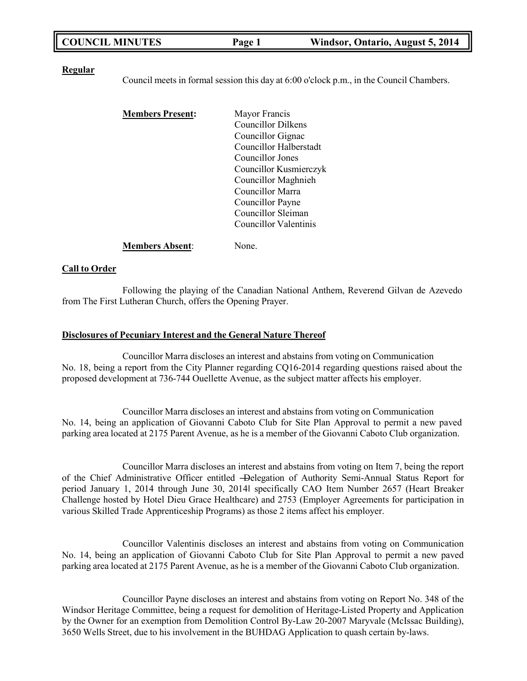| <b>COUNCIL MINUTES</b> | Page 1 | Windsor, Ontario, August 5, 2014 |
|------------------------|--------|----------------------------------|
|------------------------|--------|----------------------------------|

#### **Regular**

Council meets in formal session this day at 6:00 o'clock p.m., in the Council Chambers.

| <b>Members Present:</b> | Mayor Francis                 |
|-------------------------|-------------------------------|
|                         | <b>Councillor Dilkens</b>     |
|                         | Councillor Gignac             |
|                         | <b>Councillor Halberstadt</b> |
|                         | Councillor Jones              |
|                         | Councillor Kusmierczyk        |
|                         | Councillor Maghnieh           |
|                         | Councillor Marra              |
|                         | Councillor Payne              |
|                         | Councillor Sleiman            |
|                         | Councillor Valentinis         |
|                         |                               |

**Members Absent**: None.

#### **Call to Order**

Following the playing of the Canadian National Anthem, Reverend Gilvan de Azevedo from The First Lutheran Church, offers the Opening Prayer.

#### **Disclosures of Pecuniary Interest and the General Nature Thereof**

Councillor Marra discloses an interest and abstains from voting on Communication No. 18, being a report from the City Planner regarding CQ16-2014 regarding questions raised about the proposed development at 736-744 Ouellette Avenue, as the subject matter affects his employer.

Councillor Marra discloses an interest and abstains from voting on Communication No. 14, being an application of Giovanni Caboto Club for Site Plan Approval to permit a new paved parking area located at 2175 Parent Avenue, as he is a member of the Giovanni Caboto Club organization.

Councillor Marra discloses an interest and abstains from voting on Item 7, being the report of the Chief Administrative Officer entitled ―Delegation of Authority Semi-Annual Status Report for period January 1, 2014 through June 30, 2014‖ specifically CAO Item Number 2657 (Heart Breaker Challenge hosted by Hotel Dieu Grace Healthcare) and 2753 (Employer Agreements for participation in various Skilled Trade Apprenticeship Programs) as those 2 items affect his employer.

Councillor Valentinis discloses an interest and abstains from voting on Communication No. 14, being an application of Giovanni Caboto Club for Site Plan Approval to permit a new paved parking area located at 2175 Parent Avenue, as he is a member of the Giovanni Caboto Club organization.

Councillor Payne discloses an interest and abstains from voting on Report No. 348 of the Windsor Heritage Committee, being a request for demolition of Heritage-Listed Property and Application by the Owner for an exemption from Demolition Control By-Law 20-2007 Maryvale (McIssac Building), 3650 Wells Street, due to his involvement in the BUHDAG Application to quash certain by-laws.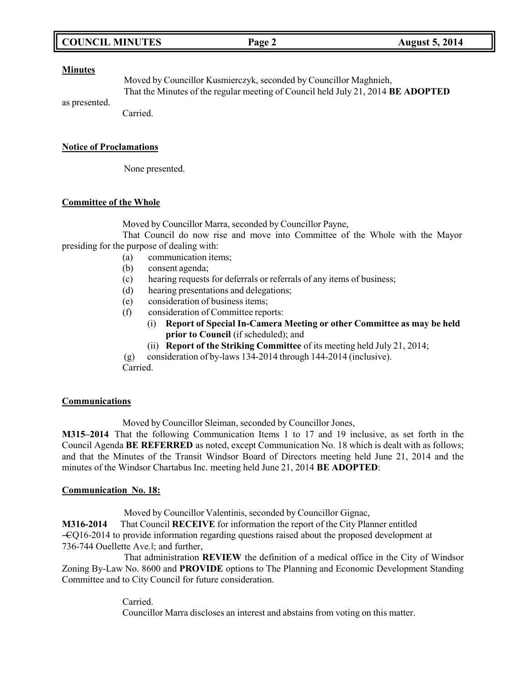## **COUNCIL MINUTES Page 2 August 5, 2014**

#### **Minutes**

Moved by Councillor Kusmierczyk, seconded by Councillor Maghnieh, That the Minutes of the regular meeting of Council held July 21, 2014 **BE ADOPTED**

as presented. Carried.

### **Notice of Proclamations**

None presented.

## **Committee of the Whole**

Moved by Councillor Marra, seconded by Councillor Payne,

That Council do now rise and move into Committee of the Whole with the Mayor presiding for the purpose of dealing with:

- (a) communication items;
- (b) consent agenda;
- (c) hearing requests for deferrals or referrals of any items of business;
- (d) hearing presentations and delegations;
- (e) consideration of business items;
- (f) consideration of Committee reports:
	- (i) **Report of Special In-Camera Meeting or other Committee as may be held prior to Council** (if scheduled); and
	- (ii) **Report of the Striking Committee** of its meeting held July 21, 2014;

(g) consideration of by-laws 134-2014 through 144-2014 (inclusive).

Carried.

#### **Communications**

Moved by Councillor Sleiman, seconded by Councillor Jones,

**M315–2014** That the following Communication Items 1 to 17 and 19 inclusive, as set forth in the Council Agenda **BE REFERRED** as noted, except Communication No. 18 which is dealt with as follows; and that the Minutes of the Transit Windsor Board of Directors meeting held June 21, 2014 and the minutes of the Windsor Chartabus Inc. meeting held June 21, 2014 **BE ADOPTED**:

#### **Communication No. 18:**

Moved by Councillor Valentinis, seconded by Councillor Gignac,

**M316-2014** That Council **RECEIVE** for information the report of the City Planner entitled ―CQ16-2014 to provide information regarding questions raised about the proposed development at 736-744 Ouellette Ave.‖; and further,

That administration **REVIEW** the definition of a medical office in the City of Windsor Zoning By-Law No. 8600 and **PROVIDE** options to The Planning and Economic Development Standing Committee and to City Council for future consideration.

> Carried. Councillor Marra discloses an interest and abstains from voting on this matter.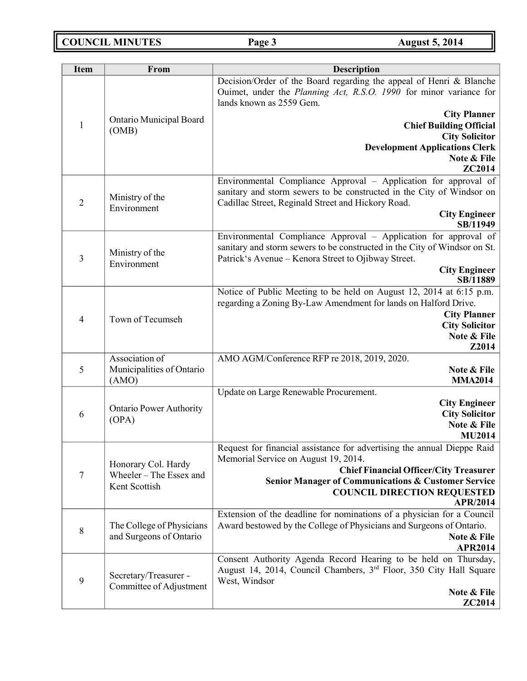**COUNCIL MINUTES Page 3 August 5, 2014**

| <b>Item</b>    | From                                                 | <b>Description</b>                                                                                                                                                                                             |  |
|----------------|------------------------------------------------------|----------------------------------------------------------------------------------------------------------------------------------------------------------------------------------------------------------------|--|
|                |                                                      | Decision/Order of the Board regarding the appeal of Henri & Blanche<br>Ouimet, under the Planning Act, R.S.O. 1990 for minor variance for<br>lands known as 2559 Gem.                                          |  |
| $\mathbf{1}$   | Ontario Municipal Board<br>(OMB)                     | <b>City Planner</b><br><b>Chief Building Official</b><br><b>City Solicitor</b><br><b>Development Applications Clerk</b><br>Note & File                                                                         |  |
|                |                                                      | ZC2014                                                                                                                                                                                                         |  |
| $\overline{2}$ | Ministry of the<br>Environment                       | Environmental Compliance Approval - Application for approval of<br>sanitary and storm sewers to be constructed in the City of Windsor on<br>Cadillac Street, Reginald Street and Hickory Road.                 |  |
|                |                                                      | <b>City Engineer</b><br>SB/11949                                                                                                                                                                               |  |
| 3              | Ministry of the<br>Environment                       | Environmental Compliance Approval - Application for approval of<br>sanitary and storm sewers to be constructed in the City of Windsor on St.<br>Patrick's Avenue – Kenora Street to Ojibway Street.            |  |
|                |                                                      | <b>City Engineer</b><br>SB/11889                                                                                                                                                                               |  |
| $\overline{4}$ | Town of Tecumseh                                     | Notice of Public Meeting to be held on August 12, 2014 at 6:15 p.m.<br>regarding a Zoning By-Law Amendment for lands on Halford Drive.<br><b>City Planner</b><br><b>City Solicitor</b><br>Note & File<br>Z2014 |  |
|                | Association of                                       | AMO AGM/Conference RFP re 2018, 2019, 2020.                                                                                                                                                                    |  |
| 5              | Municipalities of Ontario<br>(AMO)                   | Note & File<br><b>MMA2014</b>                                                                                                                                                                                  |  |
|                |                                                      | Update on Large Renewable Procurement.                                                                                                                                                                         |  |
| 6              | <b>Ontario Power Authority</b><br>(OPA)              | <b>City Engineer</b><br><b>City Solicitor</b>                                                                                                                                                                  |  |
|                |                                                      | Note & File<br><b>MU2014</b>                                                                                                                                                                                   |  |
|                |                                                      | Request for financial assistance for advertising the annual Dieppe Raid                                                                                                                                        |  |
|                | Honorary Col. Hardy                                  | Memorial Service on August 19, 2014.<br><b>Chief Financial Officer/City Treasurer</b>                                                                                                                          |  |
| $\tau$         | Wheeler - The Essex and<br>Kent Scottish             | <b>Senior Manager of Communications &amp; Customer Service</b><br><b>COUNCIL DIRECTION REQUESTED</b><br><b>APR/2014</b>                                                                                        |  |
| $\,8\,$        | The College of Physicians<br>and Surgeons of Ontario | Extension of the deadline for nominations of a physician for a Council<br>Award bestowed by the College of Physicians and Surgeons of Ontario.<br>Note & File<br><b>APR2014</b>                                |  |
| 9              | Secretary/Treasurer -<br>Committee of Adjustment     | Consent Authority Agenda Record Hearing to be held on Thursday,<br>August 14, 2014, Council Chambers, 3 <sup>rd</sup> Floor, 350 City Hall Square<br>West, Windsor                                             |  |
|                |                                                      | Note & File<br><b>ZC2014</b>                                                                                                                                                                                   |  |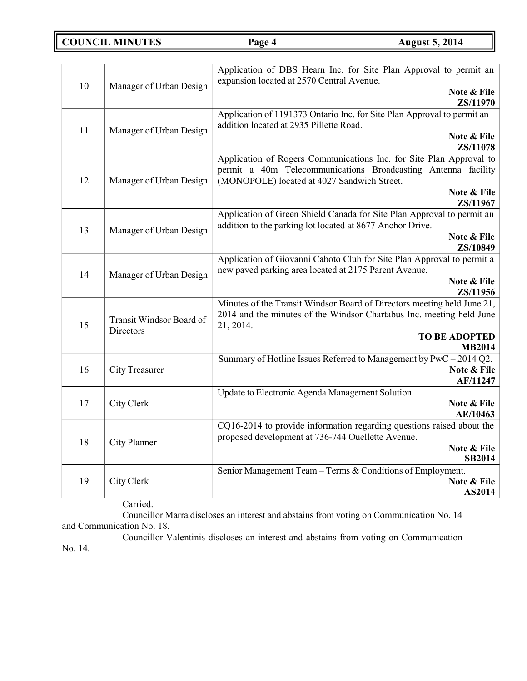**COUNCIL MINUTES Page 4 August 5, 2014**

|    |                                       | Application of DBS Hearn Inc. for Site Plan Approval to permit an<br>expansion located at 2570 Central Avenue. |
|----|---------------------------------------|----------------------------------------------------------------------------------------------------------------|
| 10 | Manager of Urban Design               | Note & File<br>ZS/11970                                                                                        |
|    |                                       | Application of 1191373 Ontario Inc. for Site Plan Approval to permit an                                        |
| 11 |                                       | addition located at 2935 Pillette Road.                                                                        |
|    | Manager of Urban Design               | Note & File                                                                                                    |
|    |                                       | ZS/11078                                                                                                       |
|    |                                       | Application of Rogers Communications Inc. for Site Plan Approval to                                            |
|    |                                       | permit a 40m Telecommunications Broadcasting Antenna facility                                                  |
| 12 | Manager of Urban Design               | (MONOPOLE) located at 4027 Sandwich Street.                                                                    |
|    |                                       | Note & File                                                                                                    |
|    |                                       | ZS/11967                                                                                                       |
|    |                                       | Application of Green Shield Canada for Site Plan Approval to permit an                                         |
| 13 | Manager of Urban Design               | addition to the parking lot located at 8677 Anchor Drive.<br>Note & File                                       |
|    |                                       | ZS/10849                                                                                                       |
|    |                                       | Application of Giovanni Caboto Club for Site Plan Approval to permit a                                         |
|    |                                       | new paved parking area located at 2175 Parent Avenue.                                                          |
| 14 | Manager of Urban Design               | Note & File                                                                                                    |
|    |                                       | ZS/11956                                                                                                       |
|    |                                       | Minutes of the Transit Windsor Board of Directors meeting held June 21,                                        |
|    | Transit Windsor Board of<br>Directors | 2014 and the minutes of the Windsor Chartabus Inc. meeting held June                                           |
| 15 |                                       | 21, 2014.                                                                                                      |
|    |                                       | <b>TO BE ADOPTED</b>                                                                                           |
|    |                                       | <b>MB2014</b>                                                                                                  |
|    |                                       | Summary of Hotline Issues Referred to Management by PwC - 2014 Q2.                                             |
| 16 | <b>City Treasurer</b>                 | Note & File                                                                                                    |
|    |                                       | AF/11247                                                                                                       |
| 17 | City Clerk                            | Update to Electronic Agenda Management Solution.<br>Note & File                                                |
|    |                                       | AE/10463                                                                                                       |
|    |                                       | CQ16-2014 to provide information regarding questions raised about the                                          |
|    |                                       | proposed development at 736-744 Ouellette Avenue.                                                              |
| 18 | City Planner                          | Note & File                                                                                                    |
|    |                                       | <b>SB2014</b>                                                                                                  |
|    |                                       | Senior Management Team - Terms & Conditions of Employment.                                                     |
| 19 | City Clerk                            | Note & File                                                                                                    |
|    |                                       | AS2014                                                                                                         |

Carried.

Councillor Marra discloses an interest and abstains from voting on Communication No. 14 and Communication No. 18.

Councillor Valentinis discloses an interest and abstains from voting on Communication No. 14.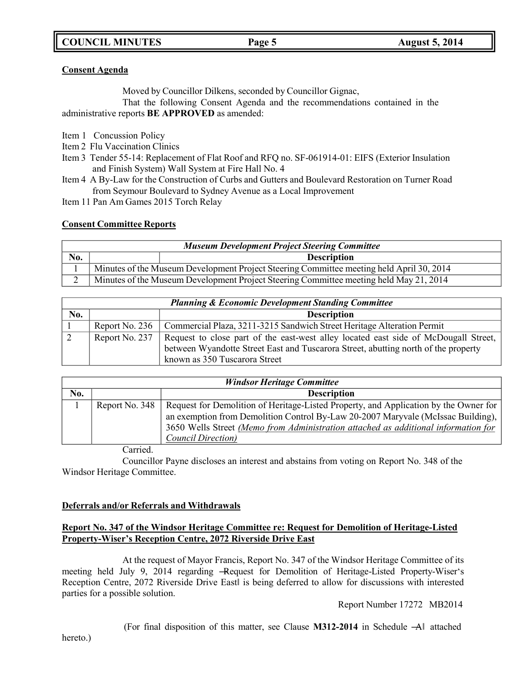## **Consent Agenda**

Moved by Councillor Dilkens, seconded by Councillor Gignac,

That the following Consent Agenda and the recommendations contained in the administrative reports **BE APPROVED** as amended:

- Item 1 Concussion Policy
- Item 2 Flu Vaccination Clinics
- Item 3 Tender 55-14: Replacement of Flat Roof and RFQ no. SF-061914-01: EIFS (Exterior Insulation and Finish System) Wall System at Fire Hall No. 4
- Item 4 A By-Law for the Construction of Curbs and Gutters and Boulevard Restoration on Turner Road from Seymour Boulevard to Sydney Avenue as a Local Improvement
- Item 11 Pan Am Games 2015 Torch Relay

## **Consent Committee Reports**

| <b>Museum Development Project Steering Committee</b> |                                                                                          |                    |
|------------------------------------------------------|------------------------------------------------------------------------------------------|--------------------|
| No.                                                  |                                                                                          | <b>Description</b> |
|                                                      | Minutes of the Museum Development Project Steering Committee meeting held April 30, 2014 |                    |
|                                                      | Minutes of the Museum Development Project Steering Committee meeting held May 21, 2014   |                    |

| <b>Planning &amp; Economic Development Standing Committee</b> |                |                                                                                                                                                                                                            |  |
|---------------------------------------------------------------|----------------|------------------------------------------------------------------------------------------------------------------------------------------------------------------------------------------------------------|--|
| No.                                                           |                | <b>Description</b>                                                                                                                                                                                         |  |
|                                                               | Report No. 236 | Commercial Plaza, 3211-3215 Sandwich Street Heritage Alteration Permit                                                                                                                                     |  |
| $\angle$                                                      | Report No. 237 | Request to close part of the east-west alley located east side of McDougall Street,<br>between Wyandotte Street East and Tuscarora Street, abutting north of the property<br>known as 350 Tuscarora Street |  |

| <b>Windsor Heritage Committee</b> |                |                                                                                                                                                                                                                                                                                              |
|-----------------------------------|----------------|----------------------------------------------------------------------------------------------------------------------------------------------------------------------------------------------------------------------------------------------------------------------------------------------|
| No.                               |                | <b>Description</b>                                                                                                                                                                                                                                                                           |
|                                   | Report No. 348 | Request for Demolition of Heritage-Listed Property, and Application by the Owner for<br>an exemption from Demolition Control By-Law 20-2007 Maryvale (McIssac Building),<br>3650 Wells Street (Memo from Administration attached as additional information for<br><b>Council Direction</b> ) |
|                                   | $\sim$         |                                                                                                                                                                                                                                                                                              |

Carried.

Councillor Payne discloses an interest and abstains from voting on Report No. 348 of the Windsor Heritage Committee.

## **Deferrals and/or Referrals and Withdrawals**

## **Report No. 347 of the Windsor Heritage Committee re: Request for Demolition of Heritage-Listed Property-Wiser's Reception Centre, 2072 Riverside Drive East**

At the request of Mayor Francis, Report No. 347 of the Windsor Heritage Committee of its meeting held July 9, 2014 regarding ―Request for Demolition of Heritage-Listed Property-Wiser's Reception Centre, 2072 Riverside Drive East‖ is being deferred to allow for discussions with interested parties for a possible solution.

Report Number 17272 MB2014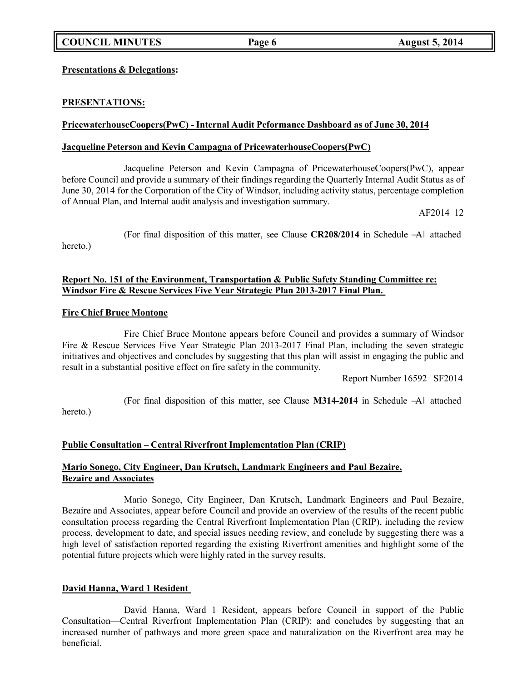**Presentations & Delegations:**

## **PRESENTATIONS:**

## **PricewaterhouseCoopers(PwC) - Internal Audit Peformance Dashboard as of June 30, 2014**

## **Jacqueline Peterson and Kevin Campagna of PricewaterhouseCoopers(PwC)**

Jacqueline Peterson and Kevin Campagna of PricewaterhouseCoopers(PwC), appear before Council and provide a summary of their findings regarding the Quarterly Internal Audit Status as of June 30, 2014 for the Corporation of the City of Windsor, including activity status, percentage completion of Annual Plan, and Internal audit analysis and investigation summary.

AF2014 12

hereto.)

# **Report No. 151 of the Environment, Transportation & Public Safety Standing Committee re: Windsor Fire & Rescue Services Five Year Strategic Plan 2013-2017 Final Plan.**

### **Fire Chief Bruce Montone**

Fire Chief Bruce Montone appears before Council and provides a summary of Windsor Fire & Rescue Services Five Year Strategic Plan 2013-2017 Final Plan, including the seven strategic initiatives and objectives and concludes by suggesting that this plan will assist in engaging the public and result in a substantial positive effect on fire safety in the community.

Report Number 16592 SF2014

hereto.)

(For final disposition of this matter, see Clause **M314-2014** in Schedule ―A‖ attached

(For final disposition of this matter, see Clause **CR208/2014** in Schedule ―A‖ attached

## **Public Consultation – Central Riverfront Implementation Plan (CRIP)**

## **Mario Sonego, City Engineer, Dan Krutsch, Landmark Engineers and Paul Bezaire, Bezaire and Associates**

Mario Sonego, City Engineer, Dan Krutsch, Landmark Engineers and Paul Bezaire, Bezaire and Associates, appear before Council and provide an overview of the results of the recent public consultation process regarding the Central Riverfront Implementation Plan (CRIP), including the review process, development to date, and special issues needing review, and conclude by suggesting there was a high level of satisfaction reported regarding the existing Riverfront amenities and highlight some of the potential future projects which were highly rated in the survey results.

## **David Hanna, Ward 1 Resident**

David Hanna, Ward 1 Resident, appears before Council in support of the Public Consultation—Central Riverfront Implementation Plan (CRIP); and concludes by suggesting that an increased number of pathways and more green space and naturalization on the Riverfront area may be beneficial.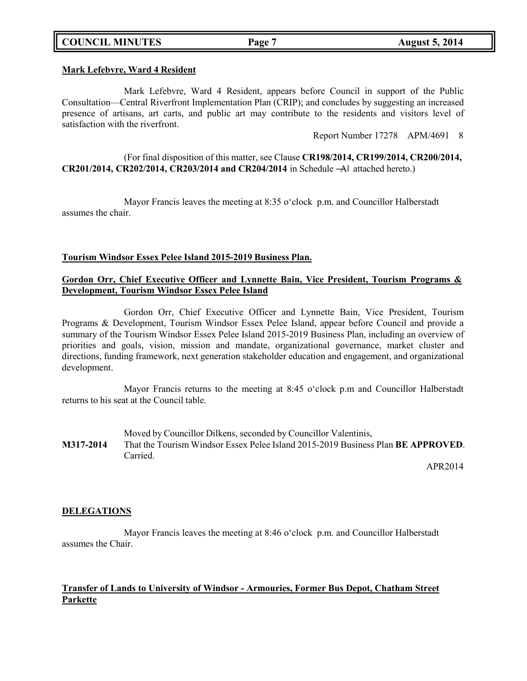## **COUNCIL MINUTES Page 7 August 5, 2014**

# **Mark Lefebvre, Ward 4 Resident**

Mark Lefebvre, Ward 4 Resident, appears before Council in support of the Public Consultation—Central Riverfront Implementation Plan (CRIP); and concludes by suggesting an increased presence of artisans, art carts, and public art may contribute to the residents and visitors level of satisfaction with the riverfront.

Report Number 17278 APM/4691 8

(For final disposition of this matter, see Clause **CR198/2014, CR199/2014, CR200/2014, CR201/2014, CR202/2014, CR203/2014 and CR204/2014** in Schedule ―A‖ attached hereto.)

Mayor Francis leaves the meeting at 8:35 o'clock p.m. and Councillor Halberstadt assumes the chair.

### **Tourism Windsor Essex Pelee Island 2015-2019 Business Plan.**

## **Gordon Orr, Chief Executive Officer and Lynnette Bain, Vice President, Tourism Programs & Development, Tourism Windsor Essex Pelee Island**

Gordon Orr, Chief Executive Officer and Lynnette Bain, Vice President, Tourism Programs & Development, Tourism Windsor Essex Pelee Island, appear before Council and provide a summary of the Tourism Windsor Essex Pelee Island 2015-2019 Business Plan, including an overview of priorities and goals, vision, mission and mandate, organizational governance, market cluster and directions, funding framework, next generation stakeholder education and engagement, and organizational development.

Mayor Francis returns to the meeting at 8:45 o'clock p.m and Councillor Halberstadt returns to his seat at the Council table.

Moved by Councillor Dilkens, seconded by Councillor Valentinis, **M317-2014** That the Tourism Windsor Essex Pelee Island 2015-2019 Business Plan **BE APPROVED**. Carried.

APR2014

## **DELEGATIONS**

Mayor Francis leaves the meeting at 8:46 o'clock p.m. and Councillor Halberstadt assumes the Chair.

## **Transfer of Lands to University of Windsor - Armouries, Former Bus Depot, Chatham Street Parkette**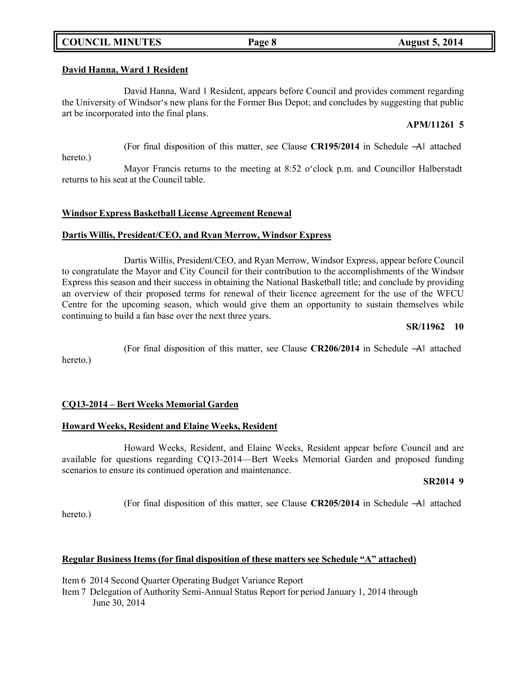## **COUNCIL MINUTES Page 8 August 5, 2014**

## **David Hanna, Ward 1 Resident**

David Hanna, Ward 1 Resident, appears before Council and provides comment regarding the University of Windsor's new plans for the Former Bus Depot; and concludes by suggesting that public art be incorporated into the final plans.

## **APM/11261 5**

(For final disposition of this matter, see Clause **CR195/2014** in Schedule ―A‖ attached

hereto.)

hereto.)

Mayor Francis returns to the meeting at 8:52 o'clock p.m. and Councillor Halberstadt returns to his seat at the Council table.

# **Windsor Express Basketball License Agreement Renewal**

# **Dartis Willis, President/CEO, and Ryan Merrow, Windsor Express**

Dartis Willis, President/CEO, and Ryan Merrow, Windsor Express, appear before Council to congratulate the Mayor and City Council for their contribution to the accomplishments of the Windsor Express this season and their success in obtaining the National Basketball title; and conclude by providing an overview of their proposed terms for renewal of their licence agreement for the use of the WFCU Centre for the upcoming season, which would give them an opportunity to sustain themselves while continuing to build a fan base over the next three years.

# **SR/11962 10**

(For final disposition of this matter, see Clause **CR206/2014** in Schedule ―A‖ attached

# **CQ13-2014 – Bert Weeks Memorial Garden**

# **Howard Weeks, Resident and Elaine Weeks, Resident**

Howard Weeks, Resident, and Elaine Weeks, Resident appear before Council and are available for questions regarding CQ13-2014—Bert Weeks Memorial Garden and proposed funding scenarios to ensure its continued operation and maintenance.

# **SR2014 9**

(For final disposition of this matter, see Clause **CR205/2014** in Schedule ―A‖ attached hereto.)

# **Regular Business Items (for final disposition of these matters see Schedule "A" attached)**

Item 6 2014 Second Quarter Operating Budget Variance Report

Item 7 Delegation of Authority Semi-Annual Status Report for period January 1, 2014 through June 30, 2014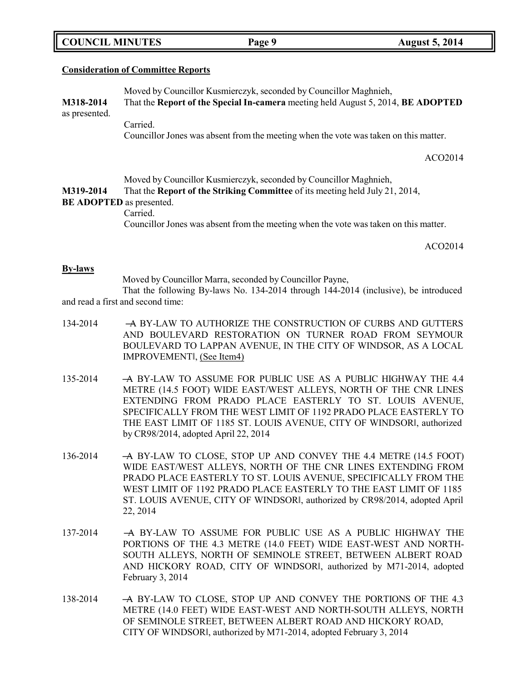|  | <b>COUNCIL MINUTES</b> |
|--|------------------------|
|--|------------------------|

### **Consideration of Committee Reports**

Moved by Councillor Kusmierczyk, seconded by Councillor Maghnieh, **M318-2014** That the **Report of the Special In-camera** meeting held August 5, 2014, **BE ADOPTED** as presented. Carried. Councillor Jones was absent from the meeting when the vote was taken on this matter. ACO2014

Moved by Councillor Kusmierczyk, seconded by Councillor Maghnieh,

**M319-2014** That the **Report of the Striking Committee** of its meeting held July 21, 2014,

## **BE ADOPTED** as presented.

Carried. Councillor Jones was absent from the meeting when the vote was taken on this matter.

ACO2014

#### **By-laws**

Moved by Councillor Marra, seconded by Councillor Payne,

That the following By-laws No. 134-2014 through 144-2014 (inclusive), be introduced and read a first and second time:

- 134-2014 A BY-LAW TO AUTHORIZE THE CONSTRUCTION OF CURBS AND GUTTERS AND BOULEVARD RESTORATION ON TURNER ROAD FROM SEYMOUR BOULEVARD TO LAPPAN AVENUE, IN THE CITY OF WINDSOR, AS A LOCAL IMPROVEMENT‖, (See Item4)
- 135-2014 ―A BY-LAW TO ASSUME FOR PUBLIC USE AS A PUBLIC HIGHWAY THE 4.4 METRE (14.5 FOOT) WIDE EAST/WEST ALLEYS, NORTH OF THE CNR LINES EXTENDING FROM PRADO PLACE EASTERLY TO ST. LOUIS AVENUE, SPECIFICALLY FROM THE WEST LIMIT OF 1192 PRADO PLACE EASTERLY TO THE EAST LIMIT OF 1185 ST. LOUIS AVENUE, CITY OF WINDSOR‖, authorized by CR98/2014, adopted April 22, 2014
- 136-2014 A BY-LAW TO CLOSE, STOP UP AND CONVEY THE 4.4 METRE (14.5 FOOT) WIDE EAST/WEST ALLEYS, NORTH OF THE CNR LINES EXTENDING FROM PRADO PLACE EASTERLY TO ST. LOUIS AVENUE, SPECIFICALLY FROM THE WEST LIMIT OF 1192 PRADO PLACE EASTERLY TO THE EAST LIMIT OF 1185 ST. LOUIS AVENUE, CITY OF WINDSOR‖, authorized by CR98/2014, adopted April 22, 2014
- 137-2014 ―A BY-LAW TO ASSUME FOR PUBLIC USE AS A PUBLIC HIGHWAY THE PORTIONS OF THE 4.3 METRE (14.0 FEET) WIDE EAST-WEST AND NORTH-SOUTH ALLEYS, NORTH OF SEMINOLE STREET, BETWEEN ALBERT ROAD AND HICKORY ROAD, CITY OF WINDSOR‖, authorized by M71-2014, adopted February 3, 2014
- 138-2014 A BY-LAW TO CLOSE, STOP UP AND CONVEY THE PORTIONS OF THE 4.3 METRE (14.0 FEET) WIDE EAST-WEST AND NORTH-SOUTH ALLEYS, NORTH OF SEMINOLE STREET, BETWEEN ALBERT ROAD AND HICKORY ROAD, CITY OF WINDSOR‖, authorized by M71-2014, adopted February 3, 2014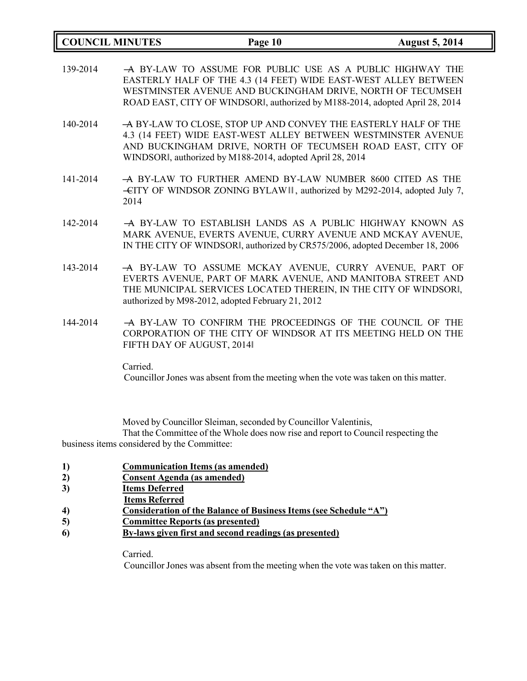| <b>COUNCIL MINUTES</b> |                           | Page 10                                                                                                                                                                                                                                                                    | <b>August 5, 2014</b> |
|------------------------|---------------------------|----------------------------------------------------------------------------------------------------------------------------------------------------------------------------------------------------------------------------------------------------------------------------|-----------------------|
| 139-2014               |                           | A BY-LAW TO ASSUME FOR PUBLIC USE AS A PUBLIC HIGHWAY THE<br>EASTERLY HALF OF THE 4.3 (14 FEET) WIDE EAST-WEST ALLEY BETWEEN<br>WESTMINSTER AVENUE AND BUCKINGHAM DRIVE, NORTH OF TECUMSEH<br>ROAD EAST, CITY OF WINDSORI, authorized by M188-2014, adopted April 28, 2014 |                       |
| 140-2014               |                           | -A BY-LAW TO CLOSE, STOP UP AND CONVEY THE EASTERLY HALF OF THE<br>4.3 (14 FEET) WIDE EAST-WEST ALLEY BETWEEN WESTMINSTER AVENUE<br>AND BUCKINGHAM DRIVE, NORTH OF TECUMSEH ROAD EAST, CITY OF<br>WINDSORI, authorized by M188-2014, adopted April 28, 2014                |                       |
| 141-2014               | 2014                      | -A BY-LAW TO FURTHER AMEND BY-LAW NUMBER 8600 CITED AS THE<br>-CITY OF WINDSOR ZONING BYLAW II, authorized by M292-2014, adopted July 7,                                                                                                                                   |                       |
| 142-2014               |                           | -A BY-LAW TO ESTABLISH LANDS AS A PUBLIC HIGHWAY KNOWN AS<br>MARK AVENUE, EVERTS AVENUE, CURRY AVENUE AND MCKAY AVENUE,<br>IN THE CITY OF WINDSORI, authorized by CR575/2006, adopted December 18, 2006                                                                    |                       |
| 143-2014               |                           | -A BY-LAW TO ASSUME MCKAY AVENUE, CURRY AVENUE, PART OF<br>EVERTS AVENUE, PART OF MARK AVENUE, AND MANITOBA STREET AND<br>THE MUNICIPAL SERVICES LOCATED THEREIN, IN THE CITY OF WINDSORI,<br>authorized by M98-2012, adopted February 21, 2012                            |                       |
| 144-2014               | FIFTH DAY OF AUGUST, 2014 | A BY-LAW TO CONFIRM THE PROCEEDINGS OF THE COUNCIL OF THE<br>CORPORATION OF THE CITY OF WINDSOR AT ITS MEETING HELD ON THE                                                                                                                                                 |                       |
|                        | Carried.                  | Councillor Jones was absent from the meeting when the vote was taken on this matter.                                                                                                                                                                                       |                       |

Moved by Councillor Sleiman, seconded by Councillor Valentinis,

That the Committee of the Whole does now rise and report to Council respecting the business items considered by the Committee:

- **1) Communication Items (as amended)**
- **2) Consent Agenda (as amended)**
- **3) Items Deferred**
- **Items Referred**
- **4) Consideration of the Balance of Business Items (see Schedule "A")**
- **5) Committee Reports (as presented)**
- **6) By-laws given first and second readings (as presented)**

Carried.

Councillor Jones was absent from the meeting when the vote was taken on this matter.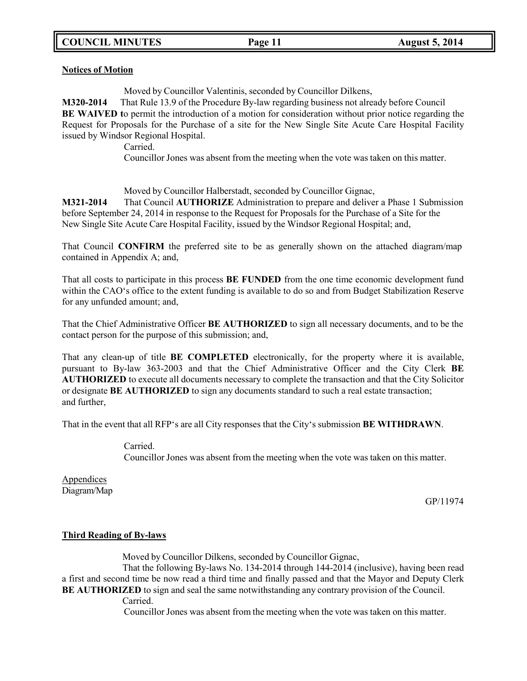### **Notices of Motion**

Moved by Councillor Valentinis, seconded by Councillor Dilkens,

**M320-2014** That Rule 13.9 of the Procedure By-law regarding business not already before Council **BE WAIVED t**o permit the introduction of a motion for consideration without prior notice regarding the Request for Proposals for the Purchase of a site for the New Single Site Acute Care Hospital Facility issued by Windsor Regional Hospital.

Carried.

Councillor Jones was absent from the meeting when the vote was taken on this matter.

Moved by Councillor Halberstadt, seconded by Councillor Gignac,

**M321-2014** That Council **AUTHORIZE** Administration to prepare and deliver a Phase 1 Submission before September 24, 2014 in response to the Request for Proposals for the Purchase of a Site for the New Single Site Acute Care Hospital Facility, issued by the Windsor Regional Hospital; and,

That Council **CONFIRM** the preferred site to be as generally shown on the attached diagram/map contained in Appendix A; and,

That all costs to participate in this process **BE FUNDED** from the one time economic development fund within the CAO's office to the extent funding is available to do so and from Budget Stabilization Reserve for any unfunded amount; and,

That the Chief Administrative Officer **BE AUTHORIZED** to sign all necessary documents, and to be the contact person for the purpose of this submission; and,

That any clean-up of title **BE COMPLETED** electronically, for the property where it is available, pursuant to By-law 363-2003 and that the Chief Administrative Officer and the City Clerk **BE AUTHORIZED** to execute all documents necessary to complete the transaction and that the City Solicitor or designate **BE AUTHORIZED** to sign any documents standard to such a real estate transaction; and further,

That in the event that all RFP's are all City responses that the City's submission **BE WITHDRAWN**.

Carried. Councillor Jones was absent from the meeting when the vote was taken on this matter.

Appendices Diagram/Map

GP/11974

## **Third Reading of By-laws**

Moved by Councillor Dilkens, seconded by Councillor Gignac,

That the following By-laws No. 134-2014 through 144-2014 (inclusive), having been read a first and second time be now read a third time and finally passed and that the Mayor and Deputy Clerk **BE AUTHORIZED** to sign and seal the same notwithstanding any contrary provision of the Council.

Carried.

Councillor Jones was absent from the meeting when the vote was taken on this matter.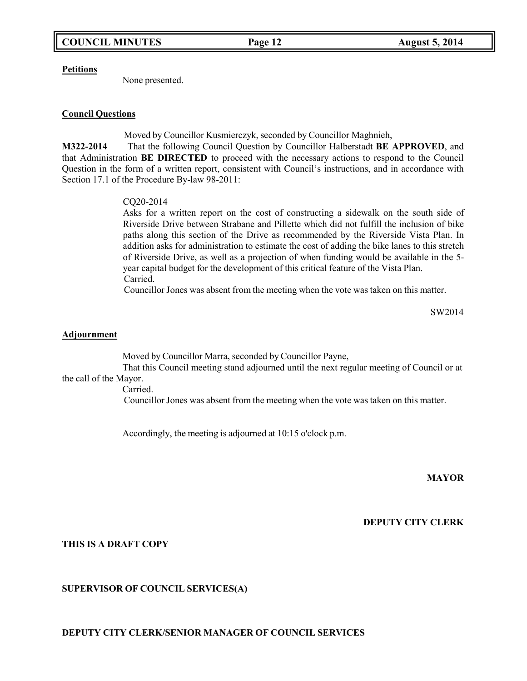#### **Petitions**

None presented.

## **Council Questions**

Moved by Councillor Kusmierczyk, seconded by Councillor Maghnieh,

**M322-2014** That the following Council Question by Councillor Halberstadt **BE APPROVED**, and that Administration **BE DIRECTED** to proceed with the necessary actions to respond to the Council Question in the form of a written report, consistent with Council's instructions, and in accordance with Section 17.1 of the Procedure By-law 98-2011:

## CQ20-2014

Asks for a written report on the cost of constructing a sidewalk on the south side of Riverside Drive between Strabane and Pillette which did not fulfill the inclusion of bike paths along this section of the Drive as recommended by the Riverside Vista Plan. In addition asks for administration to estimate the cost of adding the bike lanes to this stretch of Riverside Drive, as well as a projection of when funding would be available in the 5 year capital budget for the development of this critical feature of the Vista Plan. Carried.

Councillor Jones was absent from the meeting when the vote was taken on this matter.

SW2014

### **Adjournment**

Moved by Councillor Marra, seconded by Councillor Payne,

That this Council meeting stand adjourned until the next regular meeting of Council or at the call of the Mayor.

Carried.

Councillor Jones was absent from the meeting when the vote was taken on this matter.

Accordingly, the meeting is adjourned at 10:15 o'clock p.m.

**MAYOR**

**DEPUTY CITY CLERK**

**THIS IS A DRAFT COPY**

## **SUPERVISOR OF COUNCIL SERVICES(A)**

**DEPUTY CITY CLERK/SENIOR MANAGER OF COUNCIL SERVICES**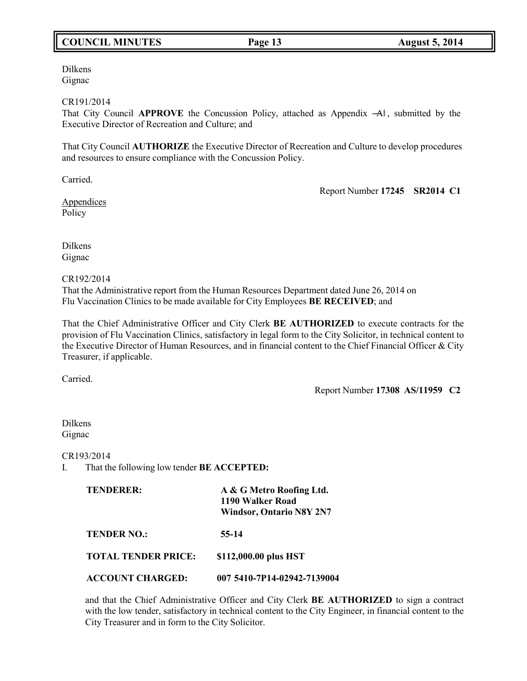# **COUNCIL MINUTES Page 13 August 5, 2014**

Dilkens Gignac

### CR191/2014

That City Council APPROVE the Concussion Policy, attached as Appendix -Al, submitted by the Executive Director of Recreation and Culture; and

That City Council **AUTHORIZE** the Executive Director of Recreation and Culture to develop procedures and resources to ensure compliance with the Concussion Policy.

Carried.

Report Number **17245 SR2014 C1**

**Appendices** Policy

Dilkens Gignac

CR192/2014

That the Administrative report from the Human Resources Department dated June 26, 2014 on Flu Vaccination Clinics to be made available for City Employees **BE RECEIVED**; and

That the Chief Administrative Officer and City Clerk **BE AUTHORIZED** to execute contracts for the provision of Flu Vaccination Clinics, satisfactory in legal form to the City Solicitor, in technical content to the Executive Director of Human Resources, and in financial content to the Chief Financial Officer & City Treasurer, if applicable.

Carried.

Report Number **17308 AS/11959 C2**

Dilkens Gignac

CR193/2014

I. That the following low tender **BE ACCEPTED:**

| <b>TENDERER:</b>           | A & G Metro Roofing Ltd.<br>1190 Walker Road<br><b>Windsor, Ontario N8Y 2N7</b> |
|----------------------------|---------------------------------------------------------------------------------|
| <b>TENDER NO.:</b>         | 55-14                                                                           |
| <b>TOTAL TENDER PRICE:</b> | \$112,000.00 plus HST                                                           |
| <b>ACCOUNT CHARGED:</b>    | 007 5410-7P14-02942-7139004                                                     |

and that the Chief Administrative Officer and City Clerk **BE AUTHORIZED** to sign a contract with the low tender, satisfactory in technical content to the City Engineer, in financial content to the City Treasurer and in form to the City Solicitor.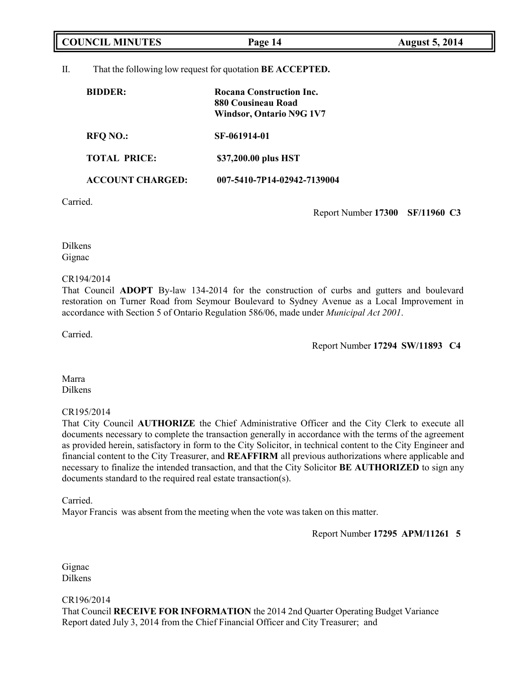|          | <b>COUNCIL MINUTES</b>  | Page 14                                                                           | <b>August 5, 2014</b> |
|----------|-------------------------|-----------------------------------------------------------------------------------|-----------------------|
| Π.       |                         | That the following low request for quotation <b>BE ACCEPTED.</b>                  |                       |
|          | <b>BIDDER:</b>          | Rocana Construction Inc.<br>880 Cousineau Road<br><b>Windsor, Ontario N9G 1V7</b> |                       |
|          | <b>RFO NO.:</b>         | SF-061914-01                                                                      |                       |
|          | <b>TOTAL PRICE:</b>     | \$37,200.00 plus HST                                                              |                       |
|          | <b>ACCOUNT CHARGED:</b> | 007-5410-7P14-02942-7139004                                                       |                       |
| Carried. |                         |                                                                                   |                       |

Report Number **17300 SF/11960 C3**

Dilkens Gignac

### CR194/2014

That Council **ADOPT** By-law 134-2014 for the construction of curbs and gutters and boulevard restoration on Turner Road from Seymour Boulevard to Sydney Avenue as a Local Improvement in accordance with Section 5 of Ontario Regulation 586/06, made under *Municipal Act 2001*.

Carried.

Report Number **17294 SW/11893 C4**

Marra Dilkens

## CR195/2014

That City Council **AUTHORIZE** the Chief Administrative Officer and the City Clerk to execute all documents necessary to complete the transaction generally in accordance with the terms of the agreement as provided herein, satisfactory in form to the City Solicitor, in technical content to the City Engineer and financial content to the City Treasurer, and **REAFFIRM** all previous authorizations where applicable and necessary to finalize the intended transaction, and that the City Solicitor **BE AUTHORIZED** to sign any documents standard to the required real estate transaction(s).

Carried.

Mayor Francis was absent from the meeting when the vote was taken on this matter.

Report Number **17295 APM/11261 5**

Gignac Dilkens

CR196/2014

That Council **RECEIVE FOR INFORMATION** the 2014 2nd Quarter Operating Budget Variance Report dated July 3, 2014 from the Chief Financial Officer and City Treasurer; and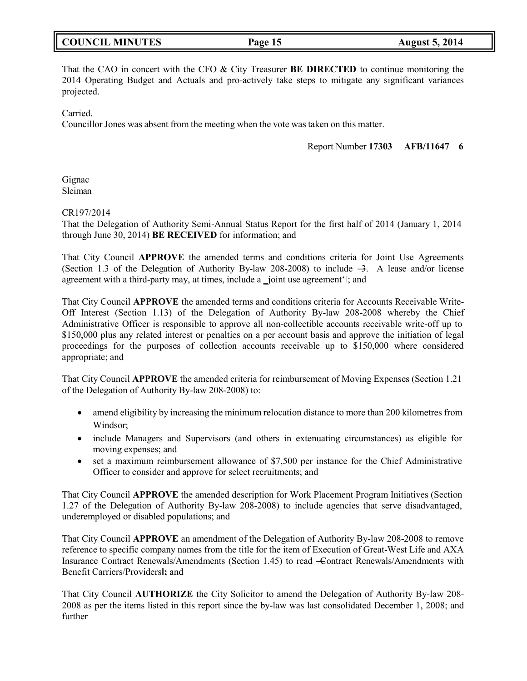|  | <b>COUNCIL MINUTES</b> |
|--|------------------------|
|--|------------------------|

That the CAO in concert with the CFO & City Treasurer **BE DIRECTED** to continue monitoring the 2014 Operating Budget and Actuals and pro-actively take steps to mitigate any significant variances projected.

Carried.

Councillor Jones was absent from the meeting when the vote was taken on this matter.

Report Number **17303 AFB/11647 6**

Gignac Sleiman

### CR197/2014

That the Delegation of Authority Semi-Annual Status Report for the first half of 2014 (January 1, 2014 through June 30, 2014) **BE RECEIVED** for information; and

That City Council **APPROVE** the amended terms and conditions criteria for Joint Use Agreements (Section 1.3 of the Delegation of Authority By-law 208-2008) to include  $-3$ . A lease and/or license agreement with a third-party may, at times, include a joint use agreement'l; and

That City Council **APPROVE** the amended terms and conditions criteria for Accounts Receivable Write-Off Interest (Section 1.13) of the Delegation of Authority By-law 208-2008 whereby the Chief Administrative Officer is responsible to approve all non-collectible accounts receivable write-off up to \$150,000 plus any related interest or penalties on a per account basis and approve the initiation of legal proceedings for the purposes of collection accounts receivable up to \$150,000 where considered appropriate; and

That City Council **APPROVE** the amended criteria for reimbursement of Moving Expenses (Section 1.21 of the Delegation of Authority By-law 208-2008) to:

- amend eligibility by increasing the minimum relocation distance to more than 200 kilometres from Windsor;
- include Managers and Supervisors (and others in extenuating circumstances) as eligible for moving expenses; and
- set a maximum reimbursement allowance of \$7,500 per instance for the Chief Administrative Officer to consider and approve for select recruitments; and

That City Council **APPROVE** the amended description for Work Placement Program Initiatives (Section 1.27 of the Delegation of Authority By-law 208-2008) to include agencies that serve disadvantaged, underemployed or disabled populations; and

That City Council **APPROVE** an amendment of the Delegation of Authority By-law 208-2008 to remove reference to specific company names from the title for the item of Execution of Great-West Life and AXA Insurance Contract Renewals/Amendments (Section 1.45) to read ―Contract Renewals/Amendments with Benefit Carriers/Providers‖**;** and

That City Council **AUTHORIZE** the City Solicitor to amend the Delegation of Authority By-law 208- 2008 as per the items listed in this report since the by-law was last consolidated December 1, 2008; and further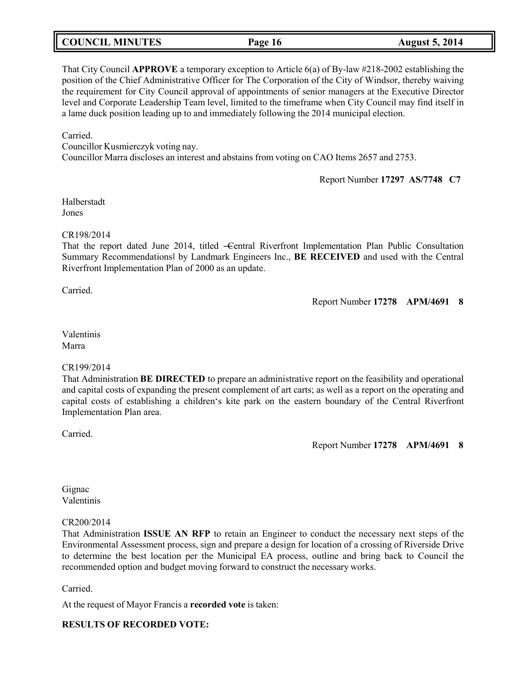## **COUNCIL MINUTES Page 16 August 5, 2014**

That City Council **APPROVE** a temporary exception to Article 6(a) of By-law #218-2002 establishing the position of the Chief Administrative Officer for The Corporation of the City of Windsor, thereby waiving the requirement for City Council approval of appointments of senior managers at the Executive Director level and Corporate Leadership Team level, limited to the timeframe when City Council may find itself in a lame duck position leading up to and immediately following the 2014 municipal election.

Carried.

Councillor Kusmierczyk voting nay. Councillor Marra discloses an interest and abstains from voting on CAO Items 2657 and 2753.

Report Number **17297 AS/7748 C7**

Halberstadt Jones

### CR198/2014

That the report dated June 2014, titled -Central Riverfront Implementation Plan Public Consultation Summary Recommendations‖ by Landmark Engineers Inc., **BE RECEIVED** and used with the Central Riverfront Implementation Plan of 2000 as an update.

Carried.

Report Number **17278 APM/4691 8**

Valentinis Marra

## CR199/2014

That Administration **BE DIRECTED** to prepare an administrative report on the feasibility and operational and capital costs of expanding the present complement of art carts; as well as a report on the operating and capital costs of establishing a children's kite park on the eastern boundary of the Central Riverfront Implementation Plan area.

Carried.

Report Number **17278 APM/4691 8**

Gignac Valentinis

## CR200/2014

That Administration **ISSUE AN RFP** to retain an Engineer to conduct the necessary next steps of the Environmental Assessment process, sign and prepare a design for location of a crossing of Riverside Drive to determine the best location per the Municipal EA process, outline and bring back to Council the recommended option and budget moving forward to construct the necessary works.

Carried.

At the request of Mayor Francis a **recorded vote** is taken:

## **RESULTS OF RECORDED VOTE:**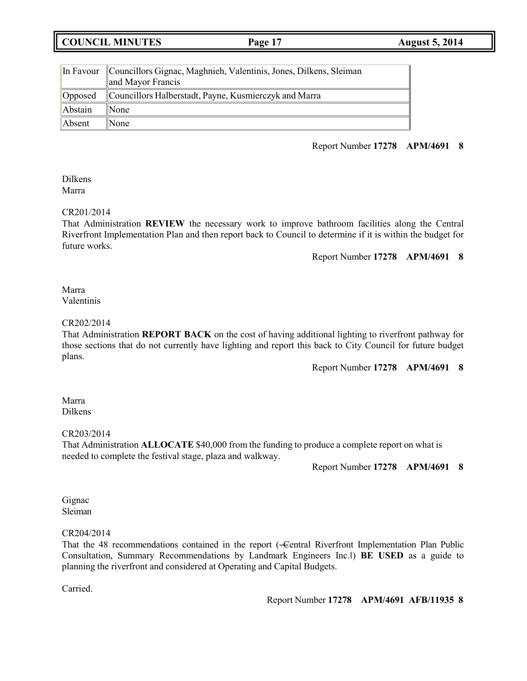**COUNCIL MINUTES Page 17 August 5, 2014**

|         | In Favour Councillors Gignac, Maghnieh, Valentinis, Jones, Dilkens, Sleiman<br>and Mayor Francis |  |
|---------|--------------------------------------------------------------------------------------------------|--|
| Opposed | Councillors Halberstadt, Payne, Kusmierczyk and Marra                                            |  |
| Abstain | $\blacksquare$ None                                                                              |  |
| Absent  | $\mathbb{N}$ one                                                                                 |  |

## Report Number **17278 APM/4691 8**

Dilkens Marra

## CR201/2014

That Administration **REVIEW** the necessary work to improve bathroom facilities along the Central Riverfront Implementation Plan and then report back to Council to determine if it is within the budget for future works.

Report Number **17278 APM/4691 8**

### Marra Valentinis

### CR202/2014

That Administration **REPORT BACK** on the cost of having additional lighting to riverfront pathway for those sections that do not currently have lighting and report this back to City Council for future budget plans.

Report Number **17278 APM/4691 8**

### Marra Dilkens

## CR203/2014

That Administration **ALLOCATE** \$40,000 from the funding to produce a complete report on what is needed to complete the festival stage, plaza and walkway.

Report Number **17278 APM/4691 8**

## Gignac Sleiman

## CR204/2014

That the 48 recommendations contained in the report (-Central Riverfront Implementation Plan Public Consultation, Summary Recommendations by Landmark Engineers Inc.‖) **BE USED** as a guide to planning the riverfront and considered at Operating and Capital Budgets.

Carried.

Report Number **17278 APM/4691 AFB/11935 8**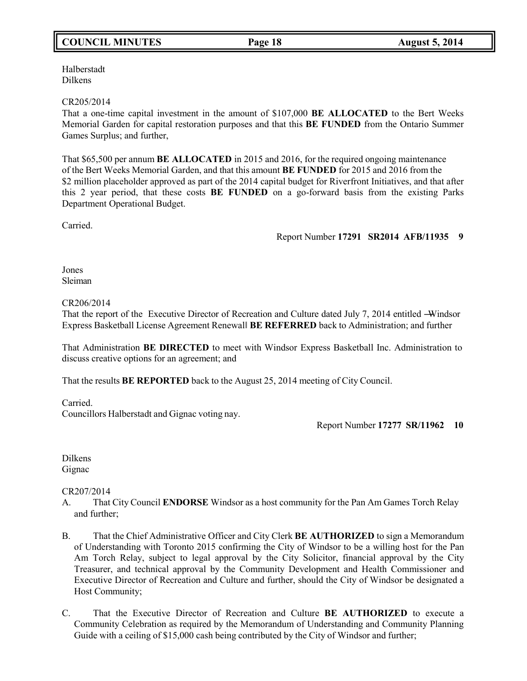# **COUNCIL MINUTES Page 18 August 5, 2014**

Halberstadt Dilkens

### CR205/2014

That a one-time capital investment in the amount of \$107,000 **BE ALLOCATED** to the Bert Weeks Memorial Garden for capital restoration purposes and that this **BE FUNDED** from the Ontario Summer Games Surplus; and further,

That \$65,500 per annum **BE ALLOCATED** in 2015 and 2016, for the required ongoing maintenance of the Bert Weeks Memorial Garden, and that this amount **BE FUNDED** for 2015 and 2016 from the \$2 million placeholder approved as part of the 2014 capital budget for Riverfront Initiatives, and that after this 2 year period, that these costs **BE FUNDED** on a go-forward basis from the existing Parks Department Operational Budget.

Carried.

Report Number **17291 SR2014 AFB/11935 9**

## Jones Sleiman

## CR206/2014

That the report of the Executive Director of Recreation and Culture dated July 7, 2014 entitled —Windsor Express Basketball License Agreement Renewal‖ **BE REFERRED** back to Administration; and further

That Administration **BE DIRECTED** to meet with Windsor Express Basketball Inc. Administration to discuss creative options for an agreement; and

That the results **BE REPORTED** back to the August 25, 2014 meeting of City Council.

Carried.

Councillors Halberstadt and Gignac voting nay.

Report Number **17277 SR/11962 10**

Dilkens Gignac

## CR207/2014

- A. That City Council **ENDORSE** Windsor as a host community for the Pan Am Games Torch Relay and further;
- B. That the Chief Administrative Officer and City Clerk **BE AUTHORIZED** to sign a Memorandum of Understanding with Toronto 2015 confirming the City of Windsor to be a willing host for the Pan Am Torch Relay, subject to legal approval by the City Solicitor, financial approval by the City Treasurer, and technical approval by the Community Development and Health Commissioner and Executive Director of Recreation and Culture and further, should the City of Windsor be designated a Host Community;
- C. That the Executive Director of Recreation and Culture **BE AUTHORIZED** to execute a Community Celebration as required by the Memorandum of Understanding and Community Planning Guide with a ceiling of \$15,000 cash being contributed by the City of Windsor and further;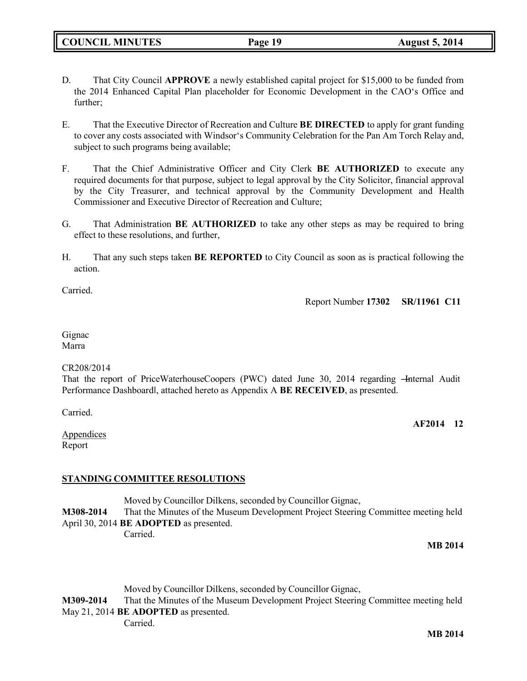- D. That City Council **APPROVE** a newly established capital project for \$15,000 to be funded from the 2014 Enhanced Capital Plan placeholder for Economic Development in the CAO's Office and further;
- E. That the Executive Director of Recreation and Culture **BE DIRECTED** to apply for grant funding to cover any costs associated with Windsor's Community Celebration for the Pan Am Torch Relay and, subject to such programs being available;
- F. That the Chief Administrative Officer and City Clerk **BE AUTHORIZED** to execute any required documents for that purpose, subject to legal approval by the City Solicitor, financial approval by the City Treasurer, and technical approval by the Community Development and Health Commissioner and Executive Director of Recreation and Culture;
- G. That Administration **BE AUTHORIZED** to take any other steps as may be required to bring effect to these resolutions, and further,
- H. That any such steps taken **BE REPORTED** to City Council as soon as is practical following the action.

Carried.

Report Number **17302 SR/11961 C11**

Gignac Marra

#### CR208/2014

That the report of PriceWaterhouseCoopers (PWC) dated June 30, 2014 regarding – Internal Audit Performance Dashboard‖, attached hereto as Appendix A **BE RECEIVED**, as presented.

Carried.

**AF2014 12**

Appendices Report

## **STANDING COMMITTEE RESOLUTIONS**

Moved by Councillor Dilkens, seconded by Councillor Gignac, **M308-2014** That the Minutes of the Museum Development Project Steering Committee meeting held April 30, 2014 **BE ADOPTED** as presented. Carried.

**MB 2014**

Moved by Councillor Dilkens, seconded by Councillor Gignac, **M309-2014** That the Minutes of the Museum Development Project Steering Committee meeting held May 21, 2014 **BE ADOPTED** as presented. Carried.

**MB 2014**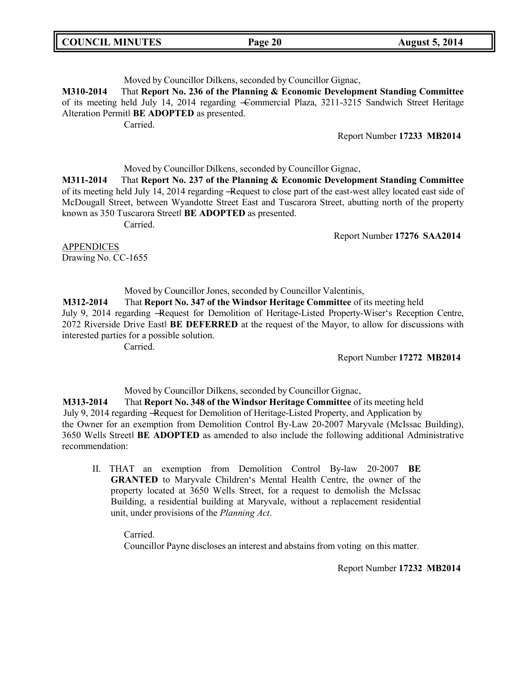## Moved by Councillor Dilkens, seconded by Councillor Gignac,

**M310-2014** That **Report No. 236 of the Planning & Economic Development Standing Committee** of its meeting held July 14, 2014 regarding ―Commercial Plaza, 3211-3215 Sandwich Street Heritage Alteration Permit‖ **BE ADOPTED** as presented.

Carried.

### Report Number **17233 MB2014**

Moved by Councillor Dilkens, seconded by Councillor Gignac,

**M311-2014** That **Report No. 237 of the Planning & Economic Development Standing Committee** of its meeting held July 14, 2014 regarding ―Request to close part of the east-west alley located east side of McDougall Street, between Wyandotte Street East and Tuscarora Street, abutting north of the property known as 350 Tuscarora Street‖ **BE ADOPTED** as presented.

Carried.

Report Number **17276 SAA2014**

APPENDICES Drawing No. CC-1655

Moved by Councillor Jones, seconded by Councillor Valentinis,

**M312-2014** That **Report No. 347 of the Windsor Heritage Committee** of its meeting held July 9, 2014 regarding ―Request for Demolition of Heritage-Listed Property-Wiser's Reception Centre, 2072 Riverside Drive East‖ **BE DEFERRED** at the request of the Mayor, to allow for discussions with interested parties for a possible solution.

Carried.

Report Number **17272 MB2014**

Moved by Councillor Dilkens, seconded by Councillor Gignac,

**M313-2014** That **Report No. 348 of the Windsor Heritage Committee** of its meeting held July 9, 2014 regarding ―Request for Demolition of Heritage-Listed Property, and Application by the Owner for an exemption from Demolition Control By-Law 20-2007 Maryvale (McIssac Building), 3650 Wells Street‖ **BE ADOPTED** as amended to also include the following additional Administrative recommendation:

II. THAT an exemption from Demolition Control By-law 20-2007 **BE GRANTED** to Maryvale Children's Mental Health Centre, the owner of the property located at 3650 Wells Street, for a request to demolish the McIssac Building, a residential building at Maryvale, without a replacement residential unit, under provisions of the *Planning Act*.

Carried. Councillor Payne discloses an interest and abstains from voting on this matter.

Report Number **17232 MB2014**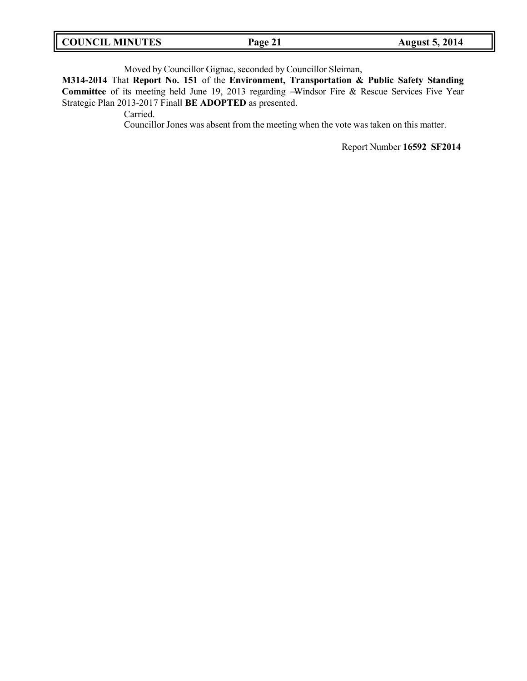Moved by Councillor Gignac, seconded by Councillor Sleiman,

**M314-2014** That **Report No. 151** of the **Environment, Transportation & Public Safety Standing Committee** of its meeting held June 19, 2013 regarding ―Windsor Fire & Rescue Services Five Year Strategic Plan 2013-2017 Final‖ **BE ADOPTED** as presented.

Carried.

Councillor Jones was absent from the meeting when the vote was taken on this matter.

Report Number **16592 SF2014**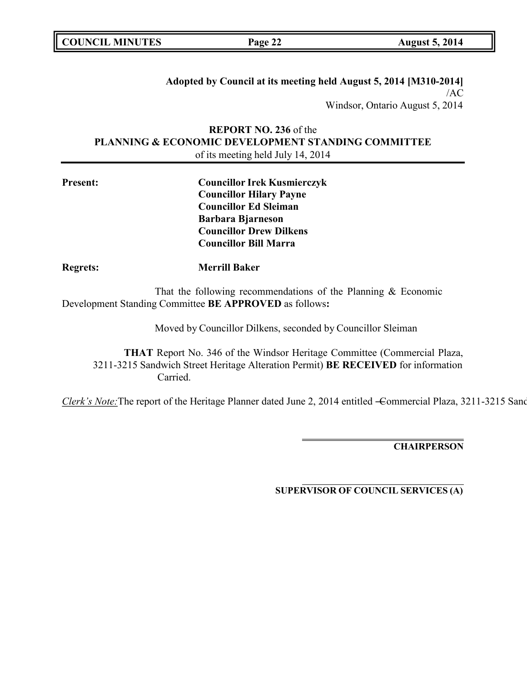**Adopted by Council at its meeting held August 5, 2014 [M310-2014]** /AC Windsor, Ontario August 5, 2014

## **REPORT NO. 236** of the **PLANNING & ECONOMIC DEVELOPMENT STANDING COMMITTEE** of its meeting held July 14, 2014

| <b>Present:</b> | <b>Councillor Irek Kusmierczyk</b> |  |
|-----------------|------------------------------------|--|
|                 | <b>Councillor Hilary Payne</b>     |  |
|                 | <b>Councillor Ed Sleiman</b>       |  |
|                 | <b>Barbara Bjarneson</b>           |  |
|                 | <b>Councillor Drew Dilkens</b>     |  |
|                 | <b>Councillor Bill Marra</b>       |  |
| <b>Regrets:</b> | <b>Merrill Baker</b>               |  |

That the following recommendations of the Planning & Economic Development Standing Committee **BE APPROVED** as follows**:**

Moved by Councillor Dilkens, seconded by Councillor Sleiman

**THAT** Report No. 346 of the Windsor Heritage Committee (Commercial Plaza, 3211-3215 Sandwich Street Heritage Alteration Permit) **BE RECEIVED** for information Carried.

*Clerk's Note:*The report of the Heritage Planner dated June 2, 2014 entitled -Commercial Plaza, 3211-3215 Sand

**CHAIRPERSON**

**SUPERVISOR OF COUNCIL SERVICES (A)**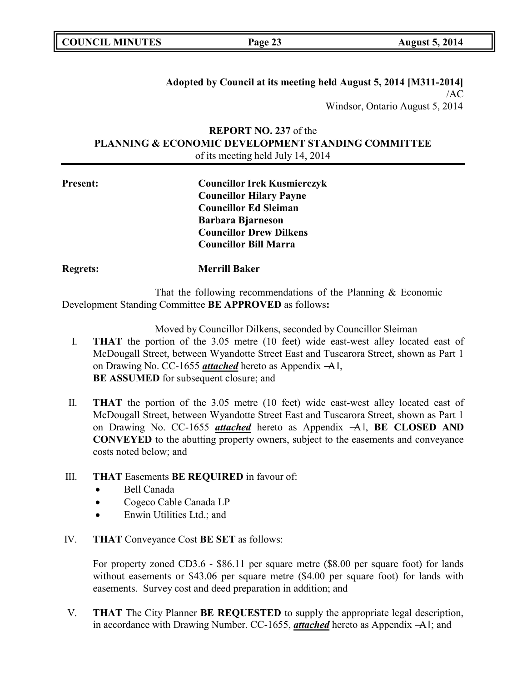## **Adopted by Council at its meeting held August 5, 2014 [M311-2014]** /AC Windsor, Ontario August 5, 2014

# **REPORT NO. 237** of the **PLANNING & ECONOMIC DEVELOPMENT STANDING COMMITTEE** of its meeting held July 14, 2014

| <b>Present:</b> | <b>Councillor Irek Kusmierczyk</b> |
|-----------------|------------------------------------|
|                 | <b>Councillor Hilary Payne</b>     |
|                 | <b>Councillor Ed Sleiman</b>       |
|                 | <b>Barbara Bjarneson</b>           |
|                 | <b>Councillor Drew Dilkens</b>     |
|                 | <b>Councillor Bill Marra</b>       |

**Regrets: Merrill Baker**

That the following recommendations of the Planning & Economic Development Standing Committee **BE APPROVED** as follows**:**

Moved by Councillor Dilkens, seconded by Councillor Sleiman

- I. **THAT** the portion of the 3.05 metre (10 feet) wide east-west alley located east of McDougall Street, between Wyandotte Street East and Tuscarora Street, shown as Part 1 on Drawing No. CC-1655 *attached* hereto as Appendix ―A‖, **BE ASSUMED** for subsequent closure; and
- II. **THAT** the portion of the 3.05 metre (10 feet) wide east-west alley located east of McDougall Street, between Wyandotte Street East and Tuscarora Street, shown as Part 1 on Drawing No. CC-1655 *attached* hereto as Appendix ―A‖, **BE CLOSED AND CONVEYED** to the abutting property owners, subject to the easements and conveyance costs noted below; and

# III. **THAT** Easements **BE REQUIRED** in favour of:

- Bell Canada
- Cogeco Cable Canada LP
- Enwin Utilities Ltd.; and
- IV. **THAT** Conveyance Cost **BE SET** as follows:

For property zoned CD3.6 - \$86.11 per square metre (\$8.00 per square foot) for lands without easements or \$43.06 per square metre (\$4.00 per square foot) for lands with easements. Survey cost and deed preparation in addition; and

V. **THAT** The City Planner **BE REQUESTED** to supply the appropriate legal description, in accordance with Drawing Number. CC-1655, *attached* hereto as Appendix ―A‖; and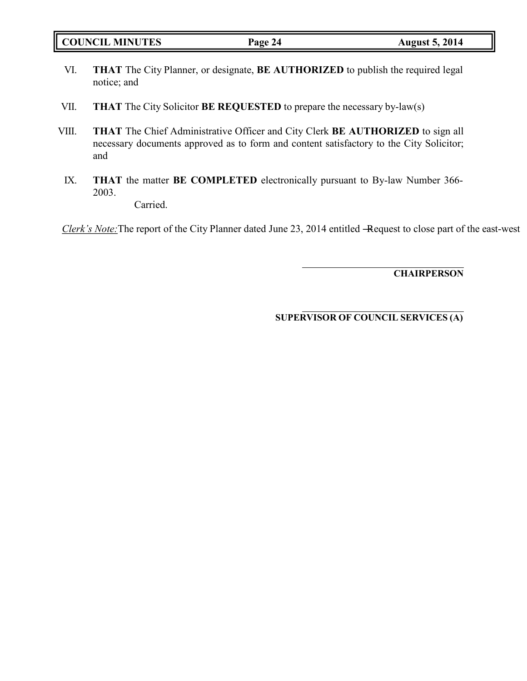|  | <b>COUNCIL MINUTES</b> |
|--|------------------------|
|--|------------------------|

- VI. **THAT** The City Planner, or designate, **BE AUTHORIZED** to publish the required legal notice; and
- VII. **THAT** The City Solicitor **BE REQUESTED** to prepare the necessary by-law(s)
- VIII. **THAT** The Chief Administrative Officer and City Clerk **BE AUTHORIZED** to sign all necessary documents approved as to form and content satisfactory to the City Solicitor; and
- IX. **THAT** the matter **BE COMPLETED** electronically pursuant to By-law Number 366- 2003.

Carried.

*Clerk's Note:* The report of the City Planner dated June 23, 2014 entitled -Request to close part of the east-west

**CHAIRPERSON**

**SUPERVISOR OF COUNCIL SERVICES (A)**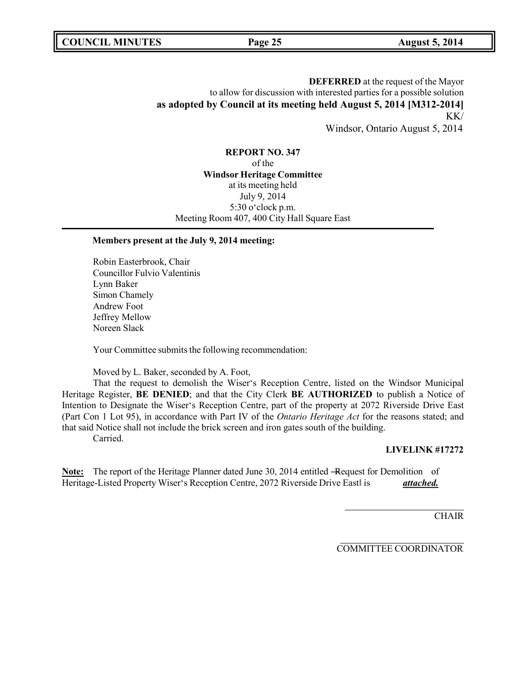**DEFERRED** at the request of the Mayor to allow for discussion with interested parties for a possible solution **as adopted by Council at its meeting held August 5, 2014 [M312-2014]** KK/ Windsor, Ontario August 5, 2014

**REPORT NO. 347** of the **Windsor Heritage Committee** at its meeting held July 9, 2014 5:30 o'clock p.m. Meeting Room 407, 400 City Hall Square East

#### **Members present at the July 9, 2014 meeting:**

Robin Easterbrook, Chair Councillor Fulvio Valentinis Lynn Baker Simon Chamely Andrew Foot Jeffrey Mellow Noreen Slack

Your Committee submits the following recommendation:

Moved by L. Baker, seconded by A. Foot,

That the request to demolish the Wiser's Reception Centre, listed on the Windsor Municipal Heritage Register, **BE DENIED**; and that the City Clerk **BE AUTHORIZED** to publish a Notice of Intention to Designate the Wiser's Reception Centre, part of the property at 2072 Riverside Drive East (Part Con 1 Lot 95), in accordance with Part IV of the *Ontario Heritage Act* for the reasons stated; and that said Notice shall not include the brick screen and iron gates south of the building.

Carried.

#### **LIVELINK #17272**

**Note:** The report of the Heritage Planner dated June 30, 2014 entitled -Request for Demolition of Heritage-Listed Property Wiser's Reception Centre, 2072 Riverside Drive East is **attached.** 

**CHAIR** 

COMMITTEE COORDINATOR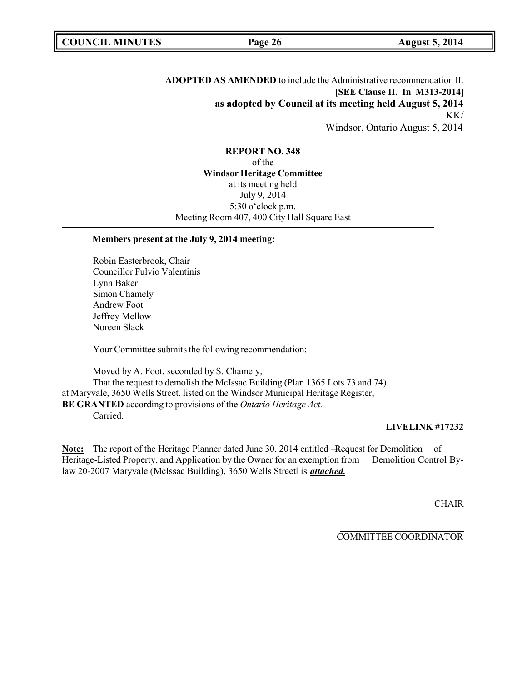**ADOPTED AS AMENDED** to include the Administrative recommendation II. **[SEE Clause II. In M313-2014] as adopted by Council at its meeting held August 5, 2014** KK/ Windsor, Ontario August 5, 2014

**REPORT NO. 348** of the **Windsor Heritage Committee** at its meeting held July 9, 2014 5:30 o'clock p.m. Meeting Room 407, 400 City Hall Square East

### **Members present at the July 9, 2014 meeting:**

Robin Easterbrook, Chair Councillor Fulvio Valentinis Lynn Baker Simon Chamely Andrew Foot Jeffrey Mellow Noreen Slack

Your Committee submits the following recommendation:

Moved by A. Foot, seconded by S. Chamely, That the request to demolish the McIssac Building (Plan 1365 Lots 73 and 74) at Maryvale, 3650 Wells Street, listed on the Windsor Municipal Heritage Register, **BE GRANTED** according to provisions of the *Ontario Heritage Act.* Carried.

#### **LIVELINK #17232**

Note: The report of the Heritage Planner dated June 30, 2014 entitled -Request for Demolition of Heritage-Listed Property, and Application by the Owner for an exemption from Demolition Control Bylaw 20-2007 Maryvale (McIssac Building), 3650 Wells Streetl is *attached*.

**CHAIR** 

COMMITTEE COORDINATOR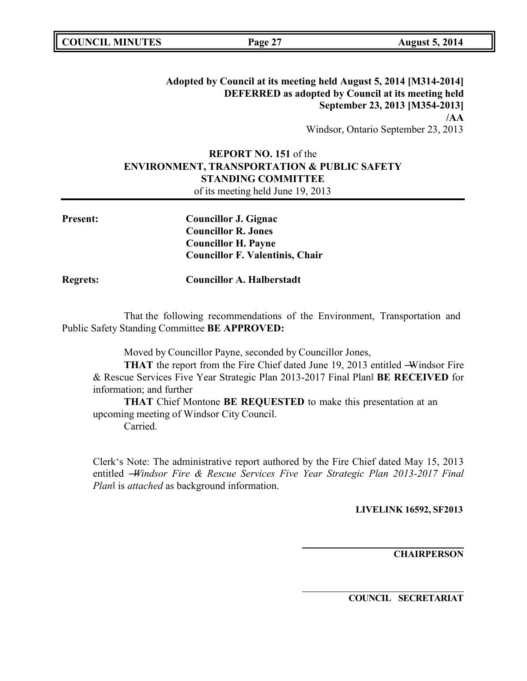|  | <b>COUNCIL MINUTES</b> |
|--|------------------------|
|--|------------------------|

## **Adopted by Council at its meeting held August 5, 2014 [M314-2014] DEFERRED as adopted by Council at its meeting held September 23, 2013 [M354-2013] /AA** Windsor, Ontario September 23, 2013

## **REPORT NO. 151** of the **ENVIRONMENT, TRANSPORTATION & PUBLIC SAFETY STANDING COMMITTEE** of its meeting held June 19, 2013

**Present: Councillor J. Gignac Councillor R. Jones Councillor H. Payne Councillor F. Valentinis, Chair**

**Regrets: Councillor A. Halberstadt**

That the following recommendations of the Environment, Transportation and Public Safety Standing Committee **BE APPROVED:**

Moved by Councillor Payne, seconded by Councillor Jones,

**THAT** the report from the Fire Chief dated June 19, 2013 entitled —Windsor Fire & Rescue Services Five Year Strategic Plan 2013-2017 Final Plan‖ **BE RECEIVED** for information; and further

**THAT** Chief Montone **BE REQUESTED** to make this presentation at an upcoming meeting of Windsor City Council.

Carried.

Clerk's Note: The administrative report authored by the Fire Chief dated May 15, 2013 entitled ―*Windsor Fire & Rescue Services Five Year Strategic Plan 2013-2017 Final Plan*‖ is *attached* as background information.

**LIVELINK 16592, SF2013**

**CHAIRPERSON**

**COUNCIL SECRETARIAT**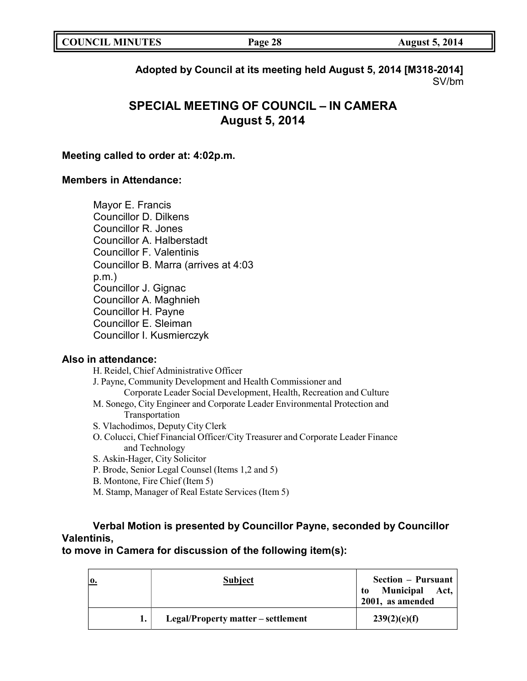| <b>COUNCIL MINUTES</b> | Page 28 | <b>August 5, 2014</b> |
|------------------------|---------|-----------------------|
|------------------------|---------|-----------------------|

**Adopted by Council at its meeting held August 5, 2014 [M318-2014]** SV/bm

# **SPECIAL MEETING OF COUNCIL – IN CAMERA August 5, 2014**

## **Meeting called to order at: 4:02p.m.**

## **Members in Attendance:**

Mayor E. Francis Councillor D. Dilkens Councillor R. Jones Councillor A. Halberstadt Councillor F. Valentinis Councillor B. Marra (arrives at 4:03 p.m.) Councillor J. Gignac Councillor A. Maghnieh Councillor H. Payne Councillor E. Sleiman Councillor I. Kusmierczyk

## **Also in attendance:**

H. Reidel, Chief Administrative Officer

J. Payne, Community Development and Health Commissioner and

- Corporate Leader Social Development, Health, Recreation and Culture
- M. Sonego, City Engineer and Corporate Leader Environmental Protection and Transportation
- S. Vlachodimos, Deputy City Clerk
- O. Colucci, Chief Financial Officer/City Treasurer and Corporate Leader Finance and Technology
- S. Askin-Hager, City Solicitor
- P. Brode, Senior Legal Counsel (Items 1,2 and 5)
- B. Montone, Fire Chief (Item 5)
- M. Stamp, Manager of Real Estate Services (Item 5)

# **Verbal Motion is presented by Councillor Payne, seconded by Councillor Valentinis,**

**to move in Camera for discussion of the following item(s):**

| ю. | Subject                            | Section – Pursuant<br>Municipal Act,<br>to<br>2001, as amended |
|----|------------------------------------|----------------------------------------------------------------|
|    | Legal/Property matter – settlement | 239(2)(e)(f)                                                   |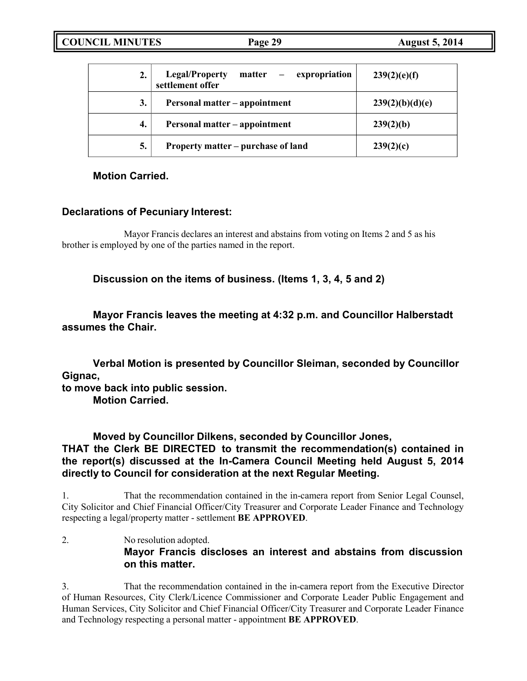**COUNCIL MINUTES Page 29 August 5, 2014**

|    | matter – expropriation<br><b>Legal/Property</b><br>settlement offer | 239(2)(e)(f)    |
|----|---------------------------------------------------------------------|-----------------|
| 3. | Personal matter – appointment                                       | 239(2)(b)(d)(e) |
| 4. | Personal matter - appointment                                       | 239(2)(b)       |
| 5. | Property matter – purchase of land                                  | 239(2)(c)       |

**Motion Carried.**

# **Declarations of Pecuniary Interest:**

Mayor Francis declares an interest and abstains from voting on Items 2 and 5 as his brother is employed by one of the parties named in the report.

**Discussion on the items of business. (Items 1, 3, 4, 5 and 2)**

**Mayor Francis leaves the meeting at 4:32 p.m. and Councillor Halberstadt assumes the Chair.**

**Verbal Motion is presented by Councillor Sleiman, seconded by Councillor Gignac,**

**to move back into public session.**

**Motion Carried.**

**Moved by Councillor Dilkens, seconded by Councillor Jones, THAT the Clerk BE DIRECTED to transmit the recommendation(s) contained in the report(s) discussed at the In-Camera Council Meeting held August 5, 2014 directly to Council for consideration at the next Regular Meeting.**

1. That the recommendation contained in the in-camera report from Senior Legal Counsel, City Solicitor and Chief Financial Officer/City Treasurer and Corporate Leader Finance and Technology respecting a legal/property matter - settlement **BE APPROVED**.

2. No resolution adopted. **Mayor Francis discloses an interest and abstains from discussion on this matter.**

3. That the recommendation contained in the in-camera report from the Executive Director of Human Resources, City Clerk/Licence Commissioner and Corporate Leader Public Engagement and Human Services, City Solicitor and Chief Financial Officer/City Treasurer and Corporate Leader Finance and Technology respecting a personal matter - appointment **BE APPROVED**.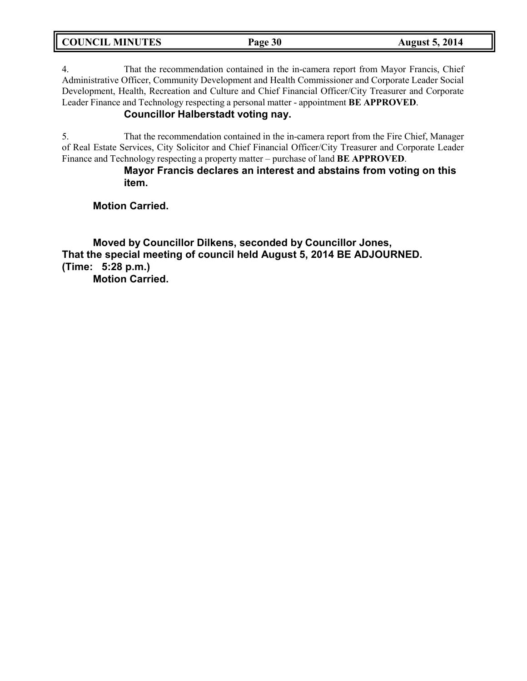|  | <b>COUNCIL MINUTES</b> |
|--|------------------------|
|--|------------------------|

4. That the recommendation contained in the in-camera report from Mayor Francis, Chief Administrative Officer, Community Development and Health Commissioner and Corporate Leader Social Development, Health, Recreation and Culture and Chief Financial Officer/City Treasurer and Corporate Leader Finance and Technology respecting a personal matter - appointment **BE APPROVED**.

## **Councillor Halberstadt voting nay.**

5. That the recommendation contained in the in-camera report from the Fire Chief, Manager of Real Estate Services, City Solicitor and Chief Financial Officer/City Treasurer and Corporate Leader Finance and Technology respecting a property matter – purchase of land **BE APPROVED**.

> **Mayor Francis declares an interest and abstains from voting on this item.**

**Motion Carried.**

**Moved by Councillor Dilkens, seconded by Councillor Jones, That the special meeting of council held August 5, 2014 BE ADJOURNED. (Time: 5:28 p.m.) Motion Carried.**